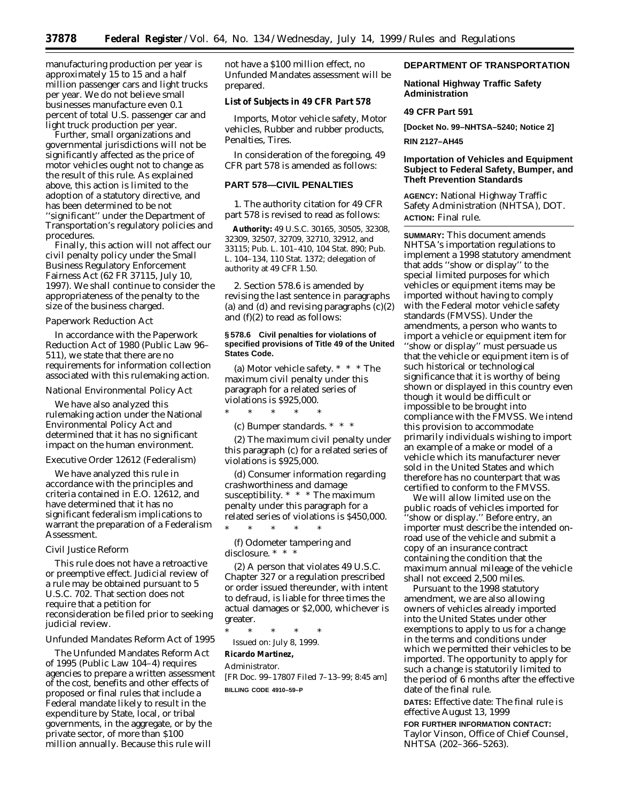manufacturing production per year is approximately 15 to 15 and a half million passenger cars and light trucks per year. We do not believe small businesses manufacture even 0.1 percent of total U.S. passenger car and light truck production per year.

Further, small organizations and governmental jurisdictions will not be significantly affected as the price of motor vehicles ought not to change as the result of this rule. As explained above, this action is limited to the adoption of a statutory directive, and has been determined to be not ''significant'' under the Department of Transportation's regulatory policies and procedures.

Finally, this action will not affect our civil penalty policy under the Small Business Regulatory Enforcement Fairness Act (62 FR 37115, July 10, 1997). We shall continue to consider the appropriateness of the penalty to the size of the business charged.

#### *Paperwork Reduction Act*

In accordance with the Paperwork Reduction Act of 1980 (Public Law 96– 511), we state that there are no requirements for information collection associated with this rulemaking action.

#### *National Environmental Policy Act*

We have also analyzed this rulemaking action under the National Environmental Policy Act and determined that it has no significant impact on the human environment.

#### *Executive Order 12612 (Federalism)*

We have analyzed this rule in accordance with the principles and criteria contained in E.O. 12612, and have determined that it has no significant federalism implications to warrant the preparation of a Federalism Assessment.

## *Civil Justice Reform*

This rule does not have a retroactive or preemptive effect. Judicial review of a rule may be obtained pursuant to 5 U.S.C. 702. That section does not require that a petition for reconsideration be filed prior to seeking judicial review.

### *Unfunded Mandates Reform Act of 1995*

The Unfunded Mandates Reform Act of 1995 (Public Law 104–4) requires agencies to prepare a written assessment of the cost, benefits and other effects of proposed or final rules that include a Federal mandate likely to result in the expenditure by State, local, or tribal governments, in the aggregate, or by the private sector, of more than \$100 million annually. Because this rule will

not have a \$100 million effect, no Unfunded Mandates assessment will be prepared.

### **List of Subjects in 49 CFR Part 578**

Imports, Motor vehicle safety, Motor vehicles, Rubber and rubber products, Penalties, Tires.

In consideration of the foregoing, 49 CFR part 578 is amended as follows:

### **PART 578—CIVIL PENALTIES**

1. The authority citation for 49 CFR part 578 is revised to read as follows:

**Authority:** 49 U.S.C. 30165, 30505, 32308, 32309, 32507, 32709, 32710, 32912, and 33115; Pub. L. 101–410, 104 Stat. 890; Pub. L. 104–134, 110 Stat. 1372; delegation of authority at 49 CFR 1.50.

2. Section 578.6 is amended by revising the last sentence in paragraphs (a) and (d) and revising paragraphs  $(c)(2)$ and (f)(2) to read as follows:

### **§ 578.6 Civil penalties for violations of specified provisions of Title 49 of the United States Code.**

(a) *Motor vehicle safety.* \* \* \* The maximum civil penalty under this paragraph for a related series of violations is \$925,000.  $*$  \* \*

(c) *Bumper standards.* \* \* \*

(2) The maximum civil penalty under this paragraph (c) for a related series of violations is \$925,000.

(d) *Consumer information regarding crashworthiness and damage susceptibility.* \* \* \* The maximum penalty under this paragraph for a related series of violations is \$450,000.

(f) *Odometer tampering and disclosure.* \* \* \*

\* \* \* \* \*

(2) A person that violates 49 U.S.C. Chapter 327 or a regulation prescribed or order issued thereunder, with intent to defraud, is liable for three times the actual damages or \$2,000, whichever is greater.

\* \* \* \* \* Issued on: July 8, 1999.

#### **Ricardo Martinez,** *Administrator.*

[FR Doc. 99–17807 Filed 7–13–99; 8:45 am] **BILLING CODE 4910–59–P**

# **DEPARTMENT OF TRANSPORTATION**

### **National Highway Traffic Safety Administration**

### **49 CFR Part 591**

**[Docket No. 99–NHTSA–5240; Notice 2]**

#### **RIN 2127–AH45**

# **Importation of Vehicles and Equipment Subject to Federal Safety, Bumper, and Theft Prevention Standards**

**AGENCY:** National Highway Traffic Safety Administration (NHTSA), DOT. **ACTION:** Final rule.

**SUMMARY:** This document amends NHTSA's importation regulations to implement a 1998 statutory amendment that adds ''show or display'' to the special limited purposes for which vehicles or equipment items may be imported without having to comply with the Federal motor vehicle safety standards (FMVSS). Under the amendments, a person who wants to import a vehicle or equipment item for ''show or display'' must persuade us that the vehicle or equipment item is of such historical or technological significance that it is worthy of being shown or displayed in this country even though it would be difficult or impossible to be brought into compliance with the FMVSS. We intend this provision to accommodate primarily individuals wishing to import an example of a make or model of a vehicle which its manufacturer never sold in the United States and which therefore has no counterpart that was certified to conform to the FMVSS.

We will allow limited use on the public roads of vehicles imported for 'show or display." Before entry, an importer must describe the intended onroad use of the vehicle and submit a copy of an insurance contract containing the condition that the maximum annual mileage of the vehicle shall not exceed 2,500 miles.

Pursuant to the 1998 statutory amendment, we are also allowing owners of vehicles already imported into the United States under other exemptions to apply to us for a change in the terms and conditions under which we permitted their vehicles to be imported. The opportunity to apply for such a change is statutorily limited to the period of 6 months after the effective date of the final rule.

**DATES:** *Effective date:* The final rule is effective August 13, 1999

# **FOR FURTHER INFORMATION CONTACT:** Taylor Vinson, Office of Chief Counsel, NHTSA (202–366–5263).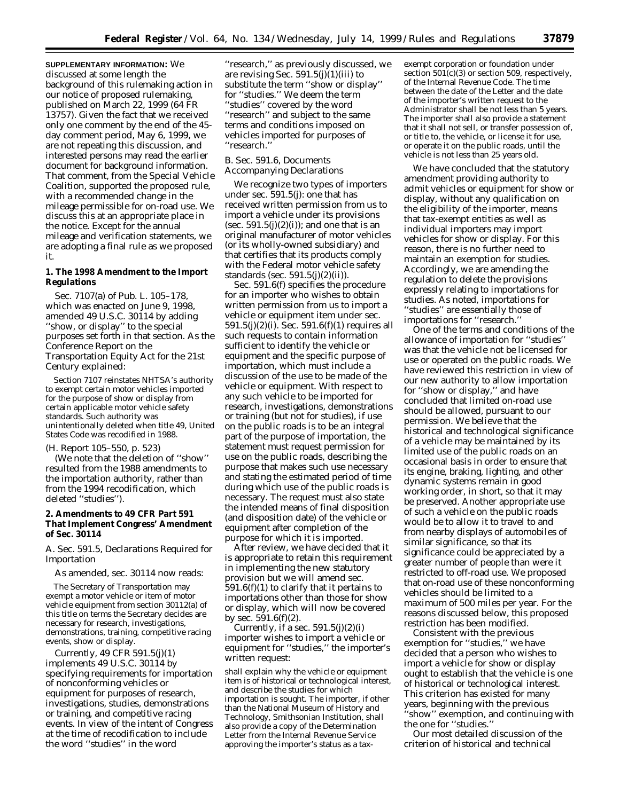**SUPPLEMENTARY INFORMATION:** We discussed at some length the background of this rulemaking action in our notice of proposed rulemaking, published on March 22, 1999 (64 FR 13757). Given the fact that we received only one comment by the end of the 45 day comment period, May 6, 1999, we are not repeating this discussion, and interested persons may read the earlier document for background information. That comment, from the Special Vehicle Coalition, supported the proposed rule, with a recommended change in the mileage permissible for on-road use. We discuss this at an appropriate place in the notice. Except for the annual mileage and verification statements, we are adopting a final rule as we proposed it.

# **1. The 1998 Amendment to the Import Regulations**

Sec. 7107(a) of Pub. L. 105–178, which was enacted on June 9, 1998, amended 49 U.S.C. 30114 by adding "show, or display" to the special purposes set forth in that section. As the Conference Report on the Transportation Equity Act for the 21st Century explained:

Section 7107 reinstates NHTSA's authority to exempt certain motor vehicles imported for the purpose of show or display from certain applicable motor vehicle safety standards. Such authority was unintentionally deleted when title 49, United States Code was recodified in 1988.

(H. Report 105–550, p. 523)

(We note that the deletion of ''show'' resulted from the 1988 amendments to the importation authority, rather than from the 1994 recodification, which deleted ''studies'').

# **2. Amendments to 49 CFR Part 591 That Implement Congress' Amendment of Sec. 30114**

### *A. Sec. 591.5, Declarations Required for Importation*

As amended, sec. 30114 now reads:

The Secretary of Transportation may exempt a motor vehicle or item of motor vehicle equipment from section 30112(a) of this title on terms the Secretary decides are necessary for research, investigations, demonstrations, training, competitive racing events, show or display.

Currently, 49 CFR 591.5(j)(1) implements 49 U.S.C. 30114 by specifying requirements for importation of nonconforming vehicles or equipment for purposes of research, investigations, studies, demonstrations or training, and competitive racing events. In view of the intent of Congress at the time of recodification to include the word ''studies'' in the word

''research,'' as previously discussed, we are revising Sec.  $591.5(j)(1)(iii)$  to substitute the term ''show or display'' for ''studies.'' We deem the term ''studies'' covered by the word ''research'' and subject to the same terms and conditions imposed on vehicles imported for purposes of ''research.''

# *B. Sec. 591.6, Documents Accompanying Declarations*

We recognize two types of importers under sec. 591.5(j): one that has received written permission from us to import a vehicle under its provisions (sec.  $591.5(j)(2)(i)$ ); and one that is an original manufacturer of motor vehicles (or its wholly-owned subsidiary) and that certifies that its products comply with the Federal motor vehicle safety standards (sec. 591.5(j)(2)(ii)).

Sec. 591.6(f) specifies the procedure for an importer who wishes to obtain written permission from us to import a vehicle or equipment item under sec. 591.5(j)(2)(i). Sec. 591.6(f)(1) requires all such requests to contain information sufficient to identify the vehicle or equipment and the specific purpose of importation, which must include a discussion of the use to be made of the vehicle or equipment. With respect to any such vehicle to be imported for research, investigations, demonstrations or training (but not for studies), if use on the public roads is to be an integral part of the purpose of importation, the statement must request permission for use on the public roads, describing the purpose that makes such use necessary and stating the estimated period of time during which use of the public roads is necessary. The request must also state the intended means of final disposition (and disposition date) of the vehicle or equipment after completion of the purpose for which it is imported.

After review, we have decided that it is appropriate to retain this requirement in implementing the new statutory provision but we will amend sec.  $591.6(f)(1)$  to clarify that it pertains to importations other than those for show or display, which will now be covered by sec.  $591.6(f)(2)$ .

Currently, if a sec.  $591.5(j)(2)(i)$ importer wishes to import a vehicle or equipment for ''studies,'' the importer's written request:

shall explain why the vehicle or equipment item is of historical or technological interest, and describe the studies for which importation is sought. The importer, if other than the National Museum of History and Technology, Smithsonian Institution, shall also provide a copy of the Determination Letter from the Internal Revenue Service approving the importer's status as a taxexempt corporation or foundation under section 501(c)(3) or section 509, respectively, of the Internal Revenue Code. The time between the date of the Letter and the date of the importer's written request to the Administrator shall be not less than 5 years. The importer shall also provide a statement that it shall not sell, or transfer possession of, or title to, the vehicle, or license it for use, or operate it on the public roads, until the vehicle is not less than 25 years old.

We have concluded that the statutory amendment providing authority to admit vehicles or equipment for show or display, without any qualification on the eligibility of the importer, means that tax-exempt entities as well as individual importers may import vehicles for show or display. For this reason, there is no further need to maintain an exemption for studies. Accordingly, we are amending the regulation to delete the provisions expressly relating to importations for studies. As noted, importations for ''studies'' are essentially those of importations for ''research.''

One of the terms and conditions of the allowance of importation for ''studies'' was that the vehicle not be licensed for use or operated on the public roads. We have reviewed this restriction in view of our new authority to allow importation for ''show or display,'' and have concluded that limited on-road use should be allowed, pursuant to our permission. We believe that the historical and technological significance of a vehicle may be maintained by its limited use of the public roads on an occasional basis in order to ensure that its engine, braking, lighting, and other dynamic systems remain in good working order, in short, so that it may be preserved. Another appropriate use of such a vehicle on the public roads would be to allow it to travel to and from nearby displays of automobiles of similar significance, so that its significance could be appreciated by a greater number of people than were it restricted to off-road use. We proposed that on-road use of these nonconforming vehicles should be limited to a maximum of 500 miles per year. For the reasons discussed below, this proposed restriction has been modified.

Consistent with the previous exemption for ''studies,'' we have decided that a person who wishes to import a vehicle for show or display ought to establish that the vehicle is one of historical or technological interest. This criterion has existed for many years, beginning with the previous ''show'' exemption, and continuing with the one for ''studies.''

Our most detailed discussion of the criterion of historical and technical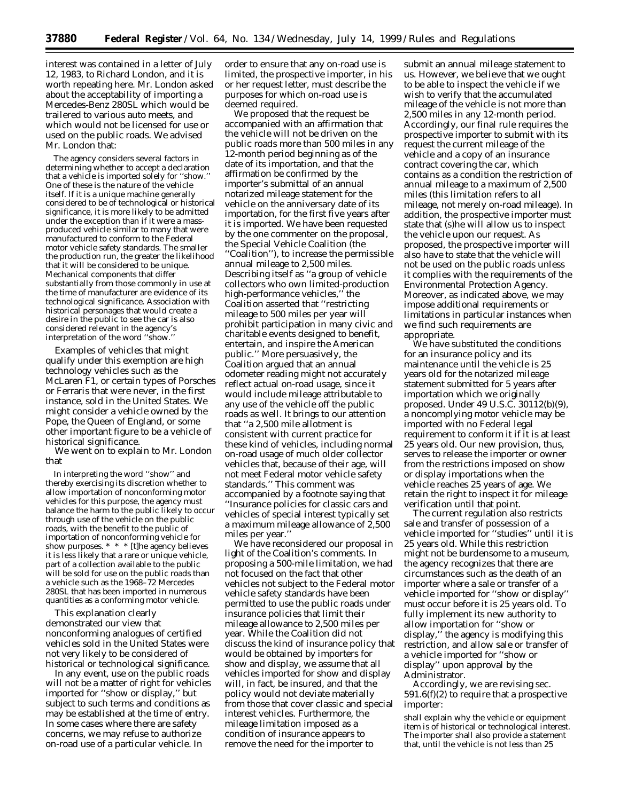interest was contained in a letter of July 12, 1983, to Richard London, and it is worth repeating here. Mr. London asked about the acceptability of importing a Mercedes-Benz 280SL which would be trailered to various auto meets, and which would not be licensed for use or used on the public roads. We advised Mr. London that:

The agency considers several factors in determining whether to accept a declaration that a vehicle is imported solely for ''show.'' One of these is the nature of the vehicle itself. If it is a unique machine generally considered to be of technological or historical significance, it is more likely to be admitted under the exception than if it were a massproduced vehicle similar to many that were manufactured to conform to the Federal motor vehicle safety standards. The smaller the production run, the greater the likelihood that it will be considered to be unique. Mechanical components that differ substantially from those commonly in use at the time of manufacturer are evidence of its technological significance. Association with historical personages that would create a desire in the public to see the car is also considered relevant in the agency's interpretation of the word ''show.''

Examples of vehicles that might qualify under this exemption are high technology vehicles such as the McLaren F1, or certain types of Porsches or Ferraris that were never, in the first instance, sold in the United States. We might consider a vehicle owned by the Pope, the Queen of England, or some other important figure to be a vehicle of historical significance.

We went on to explain to Mr. London that

In interpreting the word ''show'' and thereby exercising its discretion whether to allow importation of nonconforming motor vehicles for this purpose, the agency must balance the harm to the public likely to occur through use of the vehicle on the public roads, with the benefit to the public of importation of nonconforming vehicle for show purposes. \* \* \* [t]he agency believes it is less likely that a rare or unique vehicle, part of a collection available to the public will be sold for use on the public roads than a vehicle such as the 1968–72 Mercedes 280SL that has been imported in numerous quantities as a conforming motor vehicle.

This explanation clearly demonstrated our view that nonconforming analogues of certified vehicles sold in the United States were not very likely to be considered of historical or technological significance.

In any event, use on the public roads will not be a matter of right for vehicles imported for ''show or display,'' but subject to such terms and conditions as may be established at the time of entry. In some cases where there are safety concerns, we may refuse to authorize on-road use of a particular vehicle. In

order to ensure that any on-road use is limited, the prospective importer, in his or her request letter, must describe the purposes for which on-road use is deemed required.

We proposed that the request be accompanied with an affirmation that the vehicle will not be driven on the public roads more than 500 miles in any 12-month period beginning as of the date of its importation, and that the affirmation be confirmed by the importer's submittal of an annual notarized mileage statement for the vehicle on the anniversary date of its importation, for the first five years after it is imported. We have been requested by the one commenter on the proposal, the Special Vehicle Coalition (the ''Coalition''), to increase the permissible annual mileage to 2,500 miles. Describing itself as ''a group of vehicle collectors who own limited-production high-performance vehicles,'' the Coalition asserted that ''restricting mileage to 500 miles per year will prohibit participation in many civic and charitable events designed to benefit, entertain, and inspire the American public.'' More persuasively, the Coalition argued that an annual odometer reading might not accurately reflect actual on-road usage, since it would include mileage attributable to any use of the vehicle off the public roads as well. It brings to our attention that ''a 2,500 mile allotment is consistent with current practice for these kind of vehicles, including normal on-road usage of much older collector vehicles that, because of their age, will not meet Federal motor vehicle safety standards.'' This comment was accompanied by a footnote saying that ''Insurance policies for classic cars and vehicles of special interest typically set a maximum mileage allowance of 2,500 miles per year.''

We have reconsidered our proposal in light of the Coalition's comments. In proposing a 500-mile limitation, we had not focused on the fact that other vehicles not subject to the Federal motor vehicle safety standards have been permitted to use the public roads under insurance policies that limit their mileage allowance to 2,500 miles per year. While the Coalition did not discuss the kind of insurance policy that would be obtained by importers for show and display, we assume that all vehicles imported for show and display will, in fact, be insured, and that the policy would not deviate materially from those that cover classic and special interest vehicles. Furthermore, the mileage limitation imposed as a condition of insurance appears to remove the need for the importer to

submit an annual mileage statement to us. However, we believe that we ought to be able to inspect the vehicle if we wish to verify that the accumulated mileage of the vehicle is not more than 2,500 miles in any 12-month period. Accordingly, our final rule requires the prospective importer to submit with its request the current mileage of the vehicle and a copy of an insurance contract covering the car, which contains as a condition the restriction of annual mileage to a maximum of 2,500 miles (this limitation refers to all mileage, not merely on-road mileage). In addition, the prospective importer must state that (s)he will allow us to inspect the vehicle upon our request. As proposed, the prospective importer will also have to state that the vehicle will not be used on the public roads unless it complies with the requirements of the Environmental Protection Agency. Moreover, as indicated above, we may impose additional requirements or limitations in particular instances when we find such requirements are appropriate.

We have substituted the conditions for an insurance policy and its maintenance until the vehicle is 25 years old for the notarized mileage statement submitted for 5 years after importation which we originally proposed. Under 49 U.S.C. 30112(b)(9), a noncomplying motor vehicle may be imported with no Federal legal requirement to conform it if it is at least 25 years old. Our new provision, thus, serves to release the importer or owner from the restrictions imposed on show or display importations when the vehicle reaches 25 years of age. We retain the right to inspect it for mileage verification until that point.

The current regulation also restricts sale and transfer of possession of a vehicle imported for ''studies'' until it is 25 years old. While this restriction might not be burdensome to a museum, the agency recognizes that there are circumstances such as the death of an importer where a sale or transfer of a vehicle imported for ''show or display'' must occur before it is 25 years old. To fully implement its new authority to allow importation for ''show or display,'' the agency is modifying this restriction, and allow sale or transfer of a vehicle imported for ''show or display'' upon approval by the Administrator.

Accordingly, we are revising sec. 591.6(f)(2) to require that a prospective importer:

shall explain why the vehicle or equipment item is of historical or technological interest. The importer shall also provide a statement that, until the vehicle is not less than 25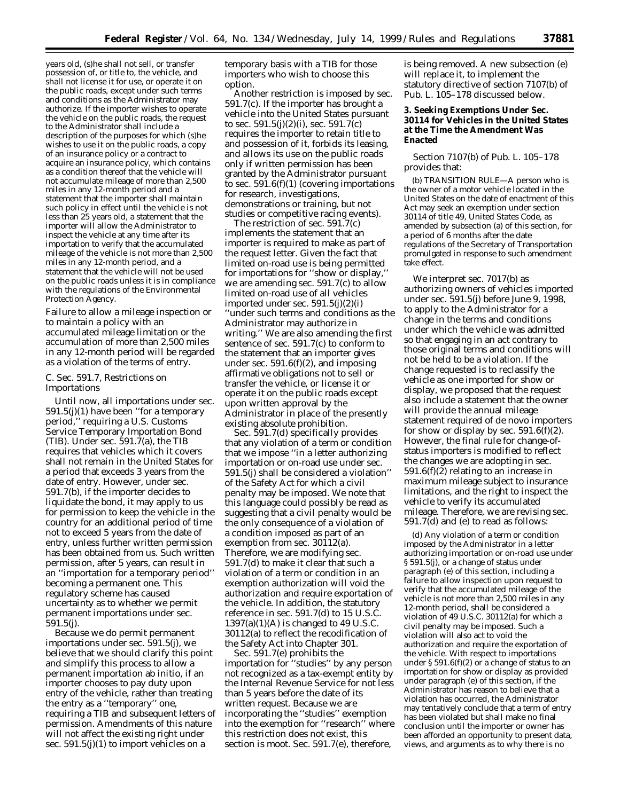years old, (s)he shall not sell, or transfer possession of, or title to, the vehicle, and shall not license it for use, or operate it on the public roads, except under such terms and conditions as the Administrator may authorize. If the importer wishes to operate the vehicle on the public roads, the request to the Administrator shall include a description of the purposes for which (s)he wishes to use it on the public roads, a copy of an insurance policy or a contract to acquire an insurance policy, which contains as a condition thereof that the vehicle will not accumulate mileage of more than 2,500 miles in any 12-month period and a statement that the importer shall maintain such policy in effect until the vehicle is not less than 25 years old, a statement that the importer will allow the Administrator to inspect the vehicle at any time after its importation to verify that the accumulated mileage of the vehicle is not more than 2,500 miles in any 12-month period, and a statement that the vehicle will not be used on the public roads unless it is in compliance with the regulations of the Environmental Protection Agency.

Failure to allow a mileage inspection or to maintain a policy with an accumulated mileage limitation or the accumulation of more than 2,500 miles in any 12-month period will be regarded as a violation of the terms of entry.

## *C. Sec. 591.7, Restrictions on Importations*

Until now, all importations under sec. 591.5(j)(1) have been ''for a temporary period,'' requiring a U.S. Customs Service Temporary Importation Bond (TIB). Under sec. 591.7(a), the TIB requires that vehicles which it covers shall not remain in the United States for a period that exceeds 3 years from the date of entry. However, under sec. 591.7(b), if the importer decides to liquidate the bond, it may apply to us for permission to keep the vehicle in the country for an additional period of time not to exceed 5 years from the date of entry, unless further written permission has been obtained from us. Such written permission, after 5 years, can result in an ''importation for a temporary period'' becoming a permanent one. This regulatory scheme has caused uncertainty as to whether we permit permanent importations under sec. 591.5(j).

Because we do permit permanent importations under sec. 591.5(j), we believe that we should clarify this point and simplify this process to allow a permanent importation ab initio, if an importer chooses to pay duty upon entry of the vehicle, rather than treating the entry as a ''temporary'' one, requiring a TIB and subsequent letters of permission. Amendments of this nature will not affect the existing right under sec.  $591.5(j)(1)$  to import vehicles on a

temporary basis with a TIB for those importers who wish to choose this option.

Another restriction is imposed by sec. 591.7(c). If the importer has brought a vehicle into the United States pursuant to sec.  $591.5(j)(2)(i)$ , sec.  $591.7(c)$ requires the importer to retain title to and possession of it, forbids its leasing, and allows its use on the public roads only if written permission has been granted by the Administrator pursuant to sec.  $591.6(f)(1)$  (covering importations for research, investigations, demonstrations or training, but not studies or competitive racing events).

The restriction of sec. 591.7(c) implements the statement that an importer is required to make as part of the request letter. Given the fact that limited on-road use is being permitted for importations for ''show or display,'' we are amending sec. 591.7(c) to allow limited on-road use of all vehicles imported under sec.  $591.5(j)(2)(i)$ ''under such terms and conditions as the Administrator may authorize in writing.'' We are also amending the first sentence of sec. 591.7(c) to conform to the statement that an importer gives under sec.  $591.6(f)(2)$ , and imposing affirmative obligations not to sell or transfer the vehicle, or license it or operate it on the public roads except upon written approval by the Administrator in place of the presently existing absolute prohibition.

Sec. 591.7(d) specifically provides that any violation of a term or condition that we impose ''in a letter authorizing importation or on-road use under sec. 591.5(j) shall be considered a violation'' of the Safety Act for which a civil penalty may be imposed. We note that this language could possibly be read as suggesting that a civil penalty would be the only consequence of a violation of a condition imposed as part of an exemption from sec. 30112(a). Therefore, we are modifying sec. 591.7(d) to make it clear that such a violation of a term or condition in an exemption authorization will void the authorization and require exportation of the vehicle. In addition, the statutory reference in sec. 591.7(d) to 15 U.S.C.  $1397(a)(1)(A)$  is changed to 49 U.S.C. 30112(a) to reflect the recodification of the Safety Act into Chapter 301.

Sec. 591.7(e) prohibits the importation for ''studies'' by any person not recognized as a tax-exempt entity by the Internal Revenue Service for not less than 5 years before the date of its written request. Because we are incorporating the ''studies'' exemption into the exemption for ''research'' where this restriction does not exist, this section is moot. Sec. 591.7(e), therefore,

is being removed. A new subsection (e) will replace it, to implement the statutory directive of section 7107(b) of Pub. L. 105–178 discussed below.

# **3. Seeking Exemptions Under Sec. 30114 for Vehicles in the United States at the Time the Amendment Was Enacted**

Section 7107(b) of Pub. L. 105–178 provides that:

(b) TRANSITION RULE—A person who is the owner of a motor vehicle located in the United States on the date of enactment of this Act may seek an exemption under section 30114 of title 49, United States Code, as amended by subsection (a) of this section, for a period of 6 months after the date regulations of the Secretary of Transportation promulgated in response to such amendment take effect.

We interpret sec. 7017(b) as authorizing owners of vehicles imported under sec. 591.5(j) before June 9, 1998, to apply to the Administrator for a change in the terms and conditions under which the vehicle was admitted so that engaging in an act contrary to those original terms and conditions will not be held to be a violation. If the change requested is to reclassify the vehicle as one imported for show or display, we proposed that the request also include a statement that the owner will provide the annual mileage statement required of de novo importers for show or display by sec.  $591.6(f)(2)$ . However, the final rule for change-ofstatus importers is modified to reflect the changes we are adopting in sec. 591.6(f)(2) relating to an increase in maximum mileage subject to insurance limitations, and the right to inspect the vehicle to verify its accumulated mileage. Therefore, we are revising sec. 591.7(d) and (e) to read as follows:

(d) Any violation of a term or condition imposed by the Administrator in a letter authorizing importation or on-road use under § 591.5(j), or a change of status under paragraph (e) of this section, including a failure to allow inspection upon request to verify that the accumulated mileage of the vehicle is not more than 2,500 miles in any 12-month period, shall be considered a violation of 49 U.S.C. 30112(a) for which a civil penalty may be imposed. Such a violation will also act to void the authorization and require the exportation of the vehicle. With respect to importations under § 591.6(f)(2) or a change of status to an importation for show or display as provided under paragraph (e) of this section, if the Administrator has reason to believe that a violation has occurred, the Administrator may tentatively conclude that a term of entry has been violated but shall make no final conclusion until the importer or owner has been afforded an opportunity to present data, views, and arguments as to why there is no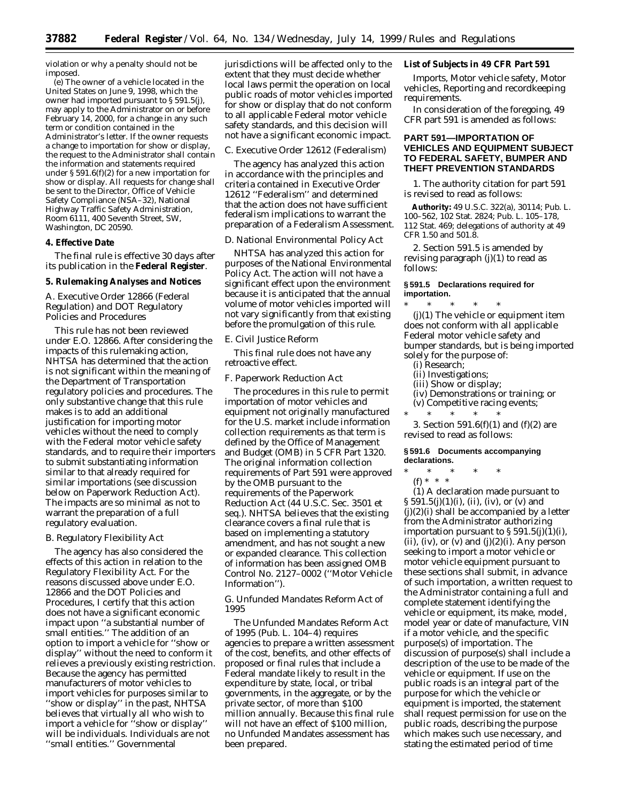violation or why a penalty should not be imposed.

(e) The owner of a vehicle located in the United States on June 9, 1998, which the owner had imported pursuant to § 591.5(j), may apply to the Administrator on or before February 14, 2000, for a change in any such term or condition contained in the Administrator's letter. If the owner requests a change to importation for show or display, the request to the Administrator shall contain the information and statements required under § 591.6(f)(2) for a new importation for show or display. All requests for change shall be sent to the Director, Office of Vehicle Safety Compliance (NSA–32), National Highway Traffic Safety Administration, Room 6111, 400 Seventh Street, SW, Washington, DC 20590.

### **4. Effective Date**

The final rule is effective 30 days after its publication in the **Federal Register**.

# **5. Rulemaking Analyses and Notices**

# *A. Executive Order 12866 (Federal Regulation) and DOT Regulatory Policies and Procedures*

This rule has not been reviewed under E.O. 12866. After considering the impacts of this rulemaking action, NHTSA has determined that the action is not significant within the meaning of the Department of Transportation regulatory policies and procedures. The only substantive change that this rule makes is to add an additional justification for importing motor vehicles without the need to comply with the Federal motor vehicle safety standards, and to require their importers to submit substantiating information similar to that already required for similar importations (see discussion below on Paperwork Reduction Act). The impacts are so minimal as not to warrant the preparation of a full regulatory evaluation.

### *B. Regulatory Flexibility Act*

The agency has also considered the effects of this action in relation to the Regulatory Flexibility Act. For the reasons discussed above under E.O. 12866 and the DOT Policies and Procedures, I certify that this action does not have a significant economic impact upon ''a substantial number of small entities.'' The addition of an option to import a vehicle for ''show or display'' without the need to conform it relieves a previously existing restriction. Because the agency has permitted manufacturers of motor vehicles to import vehicles for purposes similar to ''show or display'' in the past, NHTSA believes that virtually all who wish to import a vehicle for ''show or display'' will be individuals. Individuals are not ''small entities.'' Governmental

jurisdictions will be affected only to the extent that they must decide whether local laws permit the operation on local public roads of motor vehicles imported for show or display that do not conform to all applicable Federal motor vehicle safety standards, and this decision will not have a significant economic impact.

### *C. Executive Order 12612 (Federalism)*

The agency has analyzed this action in accordance with the principles and criteria contained in Executive Order 12612 ''Federalism'' and determined that the action does not have sufficient federalism implications to warrant the preparation of a Federalism Assessment.

### *D. National Environmental Policy Act*

NHTSA has analyzed this action for purposes of the National Environmental Policy Act. The action will not have a significant effect upon the environment because it is anticipated that the annual volume of motor vehicles imported will not vary significantly from that existing before the promulgation of this rule.

# *E. Civil Justice Reform*

This final rule does not have any retroactive effect.

#### *F. Paperwork Reduction Act*

The procedures in this rule to permit importation of motor vehicles and equipment not originally manufactured for the U.S. market include information collection requirements as that term is defined by the Office of Management and Budget (OMB) in 5 CFR Part 1320. The original information collection requirements of Part 591 were approved by the OMB pursuant to the requirements of the Paperwork Reduction Act (44 U.S.C. Sec. 3501 *et seq.*). NHTSA believes that the existing clearance covers a final rule that is based on implementing a statutory amendment, and has not sought a new or expanded clearance. This collection of information has been assigned OMB Control No. 2127–0002 (''Motor Vehicle Information'').

# *G. Unfunded Mandates Reform Act of 1995*

The Unfunded Mandates Reform Act of 1995 (Pub. L. 104–4) requires agencies to prepare a written assessment of the cost, benefits, and other effects of proposed or final rules that include a Federal mandate likely to result in the expenditure by state, local, or tribal governments, in the aggregate, or by the private sector, of more than \$100 million annually. Because this final rule will not have an effect of \$100 million, no Unfunded Mandates assessment has been prepared.

# **List of Subjects in 49 CFR Part 591**

Imports, Motor vehicle safety, Motor vehicles, Reporting and recordkeeping requirements.

In consideration of the foregoing, 49 CFR part 591 is amended as follows:

# **PART 591—IMPORTATION OF VEHICLES AND EQUIPMENT SUBJECT TO FEDERAL SAFETY, BUMPER AND THEFT PREVENTION STANDARDS**

1. The authority citation for part 591 is revised to read as follows:

**Authority:** 49 U.S.C. 322(a), 30114; Pub. L. 100–562, 102 Stat. 2824; Pub. L. 105–178, 112 Stat. 469; delegations of authority at 49 CFR 1.50 and 501.8.

2. Section 591.5 is amended by revising paragraph  $(j)(1)$  to read as follows:

#### **§ 591.5 Declarations required for importation.**

\* \* \* \* \* (j)(1) The vehicle or equipment item does not conform with all applicable Federal motor vehicle safety and bumper standards, but is being imported solely for the purpose of:

- (i) Research;
- (ii) Investigations;
- (iii) Show or display;
- (iv) Demonstrations or training; or
- (v) Competitive racing events; \* \* \* \* \*

3. Section 591.6(f)(1) and (f)(2) are revised to read as follows:

### **§ 591.6 Documents accompanying declarations.**

\* \* \* \* \*

(f) \* \* \*

(1) A declaration made pursuant to  $\S 591.5(j)(1)(i)$ , (ii), (iv), or (v) and (j)(2)(i) shall be accompanied by a letter from the Administrator authorizing importation pursuant to  $\S 591.5(j)(1)(i)$ , (ii), (iv), or (v) and  $(j)(2)(i)$ . Any person seeking to import a motor vehicle or motor vehicle equipment pursuant to these sections shall submit, in advance of such importation, a written request to the Administrator containing a full and complete statement identifying the vehicle or equipment, its make, model, model year or date of manufacture, VIN if a motor vehicle, and the specific purpose(s) of importation. The discussion of purpose(s) shall include a description of the use to be made of the vehicle or equipment. If use on the public roads is an integral part of the purpose for which the vehicle or equipment is imported, the statement shall request permission for use on the public roads, describing the purpose which makes such use necessary, and stating the estimated period of time